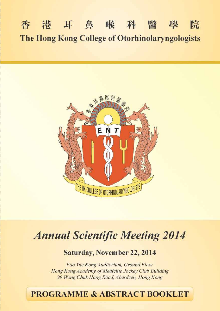### 香港耳鼻喉科醫學 院 The Hong Kong College of Otorhinolaryngologists



# **Annual Scientific Meeting 2014**

**Saturday, November 22, 2014** 

Pao Yue Kong Auditorium, Ground Floor Hong Kong Academy of Medicine Jockey Club Building 99 Wong Chuk Hang Road, Aberdeen, Hong Kong

## **PROGRAMME & ABSTRACT BOOKLET**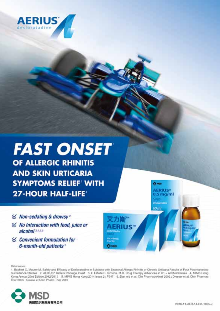

## **FAST ONSET** OF ALLERGIC RHINITIS **AND SKIN URTICARIA SYMPTOMS RELIEF WITH 27-HOUR HALF-LIFE'**

- $\mathcal C$  Non-sedating & drowsy<sup>2</sup>
- $\mathcal G$  No Interaction with food, juice or alcohol<sup>2,4,5,6</sup>
- $\mathcal C$  Convenient formulation for 6-month-old patients<sup>5</sup>

References

1. Bachert C, Maurer M. Safety and Efficacy of Dealoratadine in Subjects with Seasonal Allergic Rhinitis or Chronic Urticaria Results of Four Postmarketing Surveillance Studies 2. AERIUS\* Tablets Package Insert 3. F. Estate R. Simons, M.D. Drug Therapy Advances in H1 - Antihistamines 4. MMS Hong Kong Annual 23rd Edition 2012/2013 5. MIMS Hong Kong 2014 issue 2 : P347 6. Ban. eld et al. Clin Pharmacokinet 2002 : Dresser et al. Chin Pharmac Ther 2005 : Glasse et Chin Pharm Ther 2007

力斯"

**ERIUS™** 



**Ca MSD AERIUS®** 

 $0.5 \,\mathrm{mag/ml}$ .<br>Diskografie 60 ml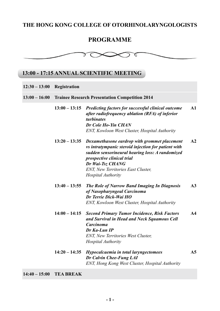### **THE HONG KONG COLLEGE OF OTORHINOLARYNGOLOGISTS**

### **PROGRAMME**



### **13:00 - 17:15 ANNUAL SCIENTIFIC MEETING**

| $12:30 - 13:00$ | Registration                                          |                                                                                                                                                                                                                                                                             |                |  |
|-----------------|-------------------------------------------------------|-----------------------------------------------------------------------------------------------------------------------------------------------------------------------------------------------------------------------------------------------------------------------------|----------------|--|
| $13:00 - 16:00$ | <b>Trainee Research Presentation Competition 2014</b> |                                                                                                                                                                                                                                                                             |                |  |
|                 | $13:00 - 13:15$                                       | <b>Predicting factors for successful clinical outcome</b><br>after radiofrequency ablation (RFA) of inferior<br><i>turbinates</i><br>Dr Cole Ho-Yin CHAN<br>ENT, Kowloon West Cluster, Hospital Authority                                                                   | $\mathbf{A}1$  |  |
|                 | $13:20 - 13:35$                                       | Dexamethasone eardrop with grommet placement<br>vs intratympanic steroid injection for patient with<br>sudden sensorineural hearing loss: A randomized<br>prospective clinical trial<br>Dr Wai-Tsz CHANG<br><b>ENT, New Territories East Cluster,</b><br>Hospital Authority | A2             |  |
|                 | $13:40 - 13:55$                                       | The Role of Narrow Band Imaging In Diagnosis<br>of Nasopharyngeal Carcinoma<br>Dr Terrie Dick-Wai HO<br>ENT, Kowloon West Cluster, Hospital Authority                                                                                                                       | A <sub>3</sub> |  |
|                 | $14:00 - 14:15$                                       | <b>Second Primary Tumor Incidence, Risk Factors</b><br>and Survival in Head and Neck Squamous Cell<br>Carcinoma<br>Dr Ka-Lun IP<br><b>ENT, New Territories West Cluster,</b><br>Hospital Authority                                                                          | $\mathbf{A4}$  |  |
|                 | $14:20 - 14:35$                                       | Hypocalcaemia in total laryngectomees<br>Dr Calvin Chee-Fung LAI<br>ENT, Hong Kong West Cluster, Hospital Authority                                                                                                                                                         | A <sub>5</sub> |  |

**14:40 – 15:00 TEA BREAK**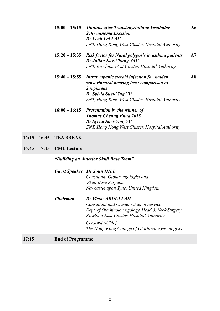| 15:00 – 15:15 Tinnitus after Translabyrinthine Vestibular | A6 |
|-----------------------------------------------------------|----|
| <b>Schwannoma Excision</b>                                |    |
| Dr Leah Lai LAU                                           |    |
| ENT, Hong Kong West Cluster, Hospital Authority           |    |

- **15:20 15:35** *Risk factor for Nasal polyposis in asthma patients Dr Julian Kay-Chung YAU ENT, Kowloon West Cluster, Hospital Authority*  **A7**
- **15:40 15:55** *Intratympanic steroid injection for sudden sensorineural hearing loss: comparison of 2 regimens Dr Sylvia Suet-Ying YU ENT, Hong Kong West Cluster, Hospital Authority*  **A8**
- **16:00 16:15** *Presentation by the winner of Thomas Cheung Fund 2013 Dr Sylvia Suet-Ying YU ENT, Hong Kong West Cluster, Hospital Authority*
- **16:15 16:45 TEA BREAK**

**16:45 – 17:15 CME Lecture** 

*"Building an Anterior Skull Base Team"*

|          | <b>Guest Speaker</b> Mr John HILL<br>Consultant Otolaryngologist and<br>Skull Base Surgeon<br>Newcastle upon Tyne, United Kingdom                                                                                                    |
|----------|--------------------------------------------------------------------------------------------------------------------------------------------------------------------------------------------------------------------------------------|
| Chairman | Dr Victor ABDULLAH<br>Consultant and Cluster Chief of Service<br>Dept. of Otorhinolaryngology, Head & Neck Surgery<br>Kowloon East Cluster, Hospital Authority<br>Censor-in-Chief<br>The Hong Kong College of Otorhinolaryngologists |

#### **17:15 End of Programme**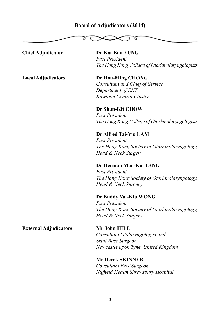## **Board of Adjudicators (2014)**

ц **Chief Adjudicator Dr Kai-Bun FUNG** *Past President The Hong Kong College of Otorhinolaryngologists* **Local Adjudicators Dr Hou-Ming CHONG** *Consultant and Chief of Service Department of ENT Kowloon Central Cluster* **Dr Shun-Kit CHOW** *Past President The Hong Kong College of Otorhinolaryngologists*  **Dr Alfred Tai-Yiu LAM** *Past President The Hong Kong Society of Otorhinolaryngology, Head & Neck Surgery* **Dr Herman Man-Kai TANG**  *Past President The Hong Kong Society of Otorhinolaryngology, Head & Neck Surgery* **Dr Buddy Yat-Kiu WONG** *Past President The Hong Kong Society of Otorhinolaryngology, Head & Neck Surgery* **External Adjudicators Mr John HILL**

*Consultant Otolaryngologist and Skull Base Surgeon Newcastle upon Tyne, United Kingdom*

**Mr Derek SKINNER** *Consultant ENT Surgeon Nuffield Health Shrewsbury Hospital*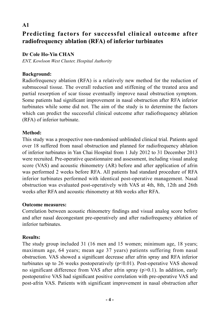### **Predicting factors for successful clinical outcome after radiofrequency ablation (RFA) of inferior turbinates**

### **Dr Cole Ho-Yin CHAN**

*ENT, Kowloon West Cluster, Hospital Authority* 

### **Background:**

**A1** 

Radiofrequency ablation (RFA) is a relatively new method for the reduction of submucosal tissue. The overall reduction and stiffening of the treated area and partial resorption of scar tissue eventually improve nasal obstruction symptom. Some patients had significant improvement in nasal obstruction after RFA inferior turbinates while some did not. The aim of the study is to determine the factors which can predict the successful clinical outcome after radiofrequency ablation (RFA) of inferior turbinate.

### **Method:**

This study was a prospective non-randomised unblinded clinical trial. Patients aged over 18 suffered from nasal obstruction and planned for radiofrequency ablation of inferior turbinates in Yan Chai Hospital from 1 July 2012 to 31 December 2013 were recruited. Pre-operative questionnaire and assessment, including visual analog score (VAS) and acoustic rhinometry (AR) before and after application of afrin was performed 2 weeks before RFA. All patients had standard procedure of RFA inferior turbinates performed with identical post-operative management. Nasal obstruction was evaluated post-operatively with VAS at 4th, 8th, 12th and 26th weeks after RFA and acoustic rhinometry at 8th weeks after RFA.

#### **Outcome measures:**

Correlation between acoustic rhinometry findings and visual analog score before and after nasal decongestant pre-operatively and after radiofrequency ablation of inferior turbinates.

### **Results:**

The study group included 31 (16 men and 15 women; minimum age, 18 years; maximum age, 64 years; mean age 37 years) patients suffering from nasal obstruction. VAS showed a significant decrease after afrin spray and RFA inferior turbinates up to 26 weeks postoperatively  $(p<0.01)$ . Post-operative VAS showed no significant difference from VAS after afrin spray (p>0.1). In addition, early postoperative VAS had significant positive correlation with pre-operative VAS and post-afrin VAS. Patients with significant improvement in nasal obstruction after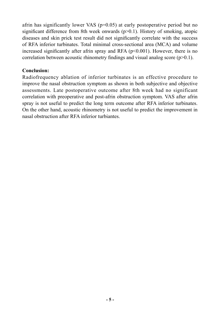afrin has significantly lower VAS  $(p=0.05)$  at early postoperative period but no significant difference from 8th week onwards (p>0.1). History of smoking, atopic diseases and skin prick test result did not significantly correlate with the success of RFA inferior turbinates. Total minimal cross-sectional area (MCA) and volume increased significantly after afrin spray and RFA ( $p \le 0.001$ ). However, there is no correlation between acoustic rhinometry findings and visual analog score  $(p>0.1)$ .

#### **Conclusion:**

Radiofrequency ablation of inferior turbinates is an effective procedure to improve the nasal obstruction symptom as shown in both subjective and objective assessments. Late postoperative outcome after 8th week had no significant correlation with preoperative and post-afrin obstruction symptom. VAS after afrin spray is not useful to predict the long term outcome after RFA inferior turbinates. On the other hand, acoustic rhinometry is not useful to predict the improvement in nasal obstruction after RFA inferior turbiantes.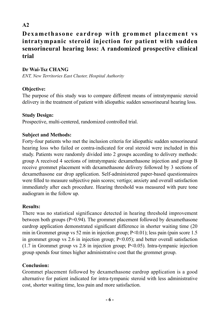### **Dexamethasone eardrop with grommet placement vs intratympanic steroid injection for patient with sudden sensorineural hearing loss: A randomized prospective clinical trial**

### **Dr Wai-Tsz CHANG**

*ENT, New Territories East Cluster, Hospital Authority*

### **Objective:**

The purpose of this study was to compare different means of intratympanic steroid delivery in the treatment of patient with idiopathic sudden sensorineural hearing loss.

### **Study Design:**

Prospective, multi-centered, randomized controlled trial.

### **Subject and Methods:**

Forty-four patients who met the inclusion criteria for idiopathic sudden sensorineural hearing loss who failed or contra-indicated for oral steroid were included in this study. Patients were randomly divided into 2 groups according to delivery methods: group A received 4 sections of intratympanic dexamethasone injection and group B receive grommet placement with dexamethasone delivery followed by 3 sections of dexamethasone ear drop application. Self-administered paper-based questionnaires were filled to measure subjective pain scores; vertigo; anxiety and overall satisfaction immediately after each procedure. Hearing threshold was measured with pure tone audiogram in the follow up.

### **Results:**

There was no statistical significance detected in hearing threshold improvement between both groups (P=0.94). The grommet placement followed by dexamethasone eardrop application demonstrated significant difference in shorter waiting time (20 min in Grommet group vs 52 min in injection group; P<0.01); less pain (pain score 1.5 in grommet group vs 2.6 in injection group;  $P<0.05$ ); and better overall satisfaction (1.7 in Grommet group vs 2.8 in injection group; P<0.05). Intra-tympanic injection group spends four times higher administrative cost that the grommet group.

### **Conclusion:**

Grommet placement followed by dexamethasone eardrop application is a good alternative for patient indicated for intra-tympanic steroid with less administrative cost, shorter waiting time, less pain and more satisfaction.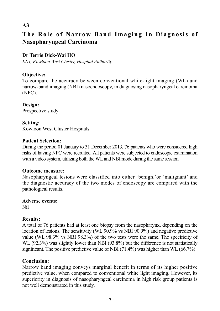### **The Role of Narrow Band Imaging In Diagnosis of Nasopharyngeal Carcinoma**

### **Dr Terrie Dick-Wai HO**

*ENT, Kowloon West Cluster, Hospital Authority* 

### **Objective:**

To compare the accuracy between conventional white-light imaging (WL) and narrow-band imaging (NBI) nasoendoscopy, in diagnosing nasopharyngeal carcinoma (NPC).

**Design:** Prospective study

#### **Setting:**

Kowloon West Cluster Hospitals

#### **Patient Selection:**

During the period 01 January to 31 December 2013, 76 patients who were considered high risks of having NPC were recruited. All patients were subjected to endoscopic examination with a video system, utilizing both the WL and NBI mode during the same session

#### **Outcome measure:**

Nasopharyngeal lesions were classified into either 'benign.'or 'malignant' and the diagnostic accuracy of the two modes of endoscopy are compared with the pathological results.

### **Adverse events:**

Nil

### **Results:**

A total of 76 patients had at least one biopsy from the nasopharynx, depending on the location of lesions. The sensitivity (WL 90.9% vs NBI 90.9%) and negative predictive value (WL 98.3% vs NBI 98.3%) of the two tests were the same. The specificity of WL (92.3%) was slightly lower than NBI (93.8%) but the difference is not statistically significant. The positive predictive value of NBI (71.4%) was higher than WL (66.7%)

### **Conclusion:**

Narrow band imaging conveys marginal benefit in terms of its higher positive predictive value, when compared to conventional white light imaging. However, its superiority in diagnosis of nasopharyngeal carcinoma in high risk group patients is not well demonstrated in this study.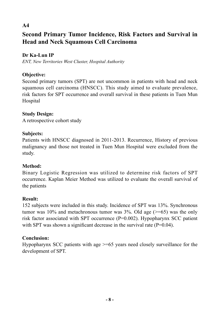### **Second Primary Tumor Incidence, Risk Factors and Survival in Head and Neck Squamous Cell Carcinoma**

### **Dr Ka-Lun IP**

*ENT, New Territories West Cluster, Hospital Authority*

### **Objective:**

Second primary tumors (SPT) are not uncommon in patients with head and neck squamous cell carcinoma (HNSCC). This study aimed to evaluate prevalence, risk factors for SPT occurrence and overall survival in these patients in Tuen Mun Hospital

### **Study Design:**

A retrospective cohort study

### **Subjects:**

Patients with HNSCC diagnosed in 2011-2013. Recurrence, History of previous malignancy and those not treated in Tuen Mun Hospital were excluded from the study.

### **Method:**

Binary Logistic Regression was utilized to determine risk factors of SPT occurrence. Kaplan Meier Method was utilized to evaluate the overall survival of the patients

### **Result:**

152 subjects were included in this study. Incidence of SPT was 13%. Synchronous tumor was 10% and metachronous tumor was  $3\%$ . Old age ( $\geq$ =65) was the only risk factor associated with SPT occurrence (P=0.002). Hypopharynx SCC patient with SPT was shown a significant decrease in the survival rate  $(P=0.04)$ .

### **Conclusion:**

Hypopharynx SCC patients with age >=65 years need closely surveillance for the development of SPT.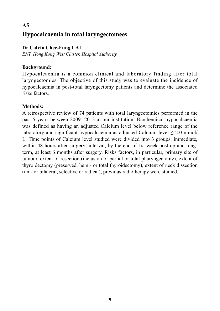### **A5 Hypocalcaemia in total laryngectomees**

### **Dr Calvin Chee-Fung LAI**

*ENT, Hong Kong West Cluster, Hospital Authority*

### **Background:**

Hypocalcaemia is a common clinical and laboratory finding after total laryngectomies. The objective of this study was to evaluate the incidence of hypocalcaemia in post-total laryngectomy patients and determine the associated risks factors.

### **Methods:**

A retrospective review of 74 patients with total laryngectomies performed in the past 5 years between 2009- 2013 at our institution. Biochemical hypocalcaemia was defined as having an adjusted Calcium level below reference range of the laboratory and significant hypocalcaemia as adjusted Calcium level  $\leq 2.0$  mmol/ L. Time points of Calcium level studied were divided into 3 groups: immediate, within 48 hours after surgery; interval, by the end of 1st week post-op and longterm, at least 6 months after surgery. Risks factors, in particular, primary site of tumour, extent of resection (inclusion of partial or total pharyngectomy), extent of thyroidectomy (preserved, hemi- or total thyroidectomy), extent of neck dissection (uni- or bilateral, selective or radical), previous radiotherapy were studied.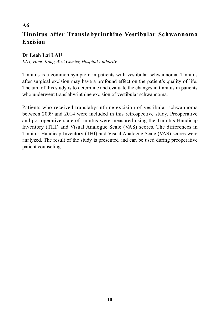### **Tinnitus after Translabyrinthine Vestibular Schwannoma Excision**

#### **Dr Leah Lai LAU**

**A6** 

*ENT, Hong Kong West Cluster, Hospital Authority* 

Tinnitus is a common symptom in patients with vestibular schwannoma. Tinnitus after surgical excision may have a profound effect on the patient's quality of life. The aim of this study is to determine and evaluate the changes in tinnitus in patients who underwent translabyrinthine excision of vestibular schwannoma.

Patients who received translabyrinthine excision of vestibular schwannoma between 2009 and 2014 were included in this retrospective study. Preoperative and postoperative state of tinnitus were measured using the Tinnitus Handicap Inventory (THI) and Visual Analogue Scale (VAS) scores. The differences in Tinnitus Handicap Inventory (THI) and Visual Analogue Scale (VAS) scores were analyzed. The result of the study is presented and can be used during preoperative patient counseling.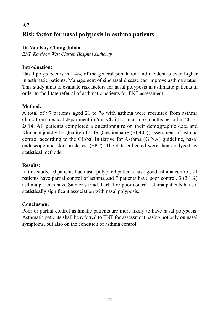### **A7 Risk factor for nasal polyposis in asthma patients**

### **Dr Yau Kay Chung Julian**

*ENT, Kowloon West Cluster, Hospital Authority*

### **Introduction:**

Nasal polyp occurs in 1-4% of the general population and incident is even higher in asthmatic patients. Management of sinonasal disease can improve asthma status. This study aims to evaluate risk factors for nasal polyposis in asthmatic patients in order to facilitate referral of asthmatic patients for ENT assessment.

### **Method:**

A total of 97 patients aged 21 to 76 with asthma were recruited from asthma clinic from medical department in Yan Chai Hospital in 6 months period in 2013- 2014. All patients completed a questionnaire on their demographic data and Rhinoconjunctivitis Quality of Life Questionnaire (RQLQ), assessment of asthma control according to the Global Initiative for Asthma (GINA) guideline, nasal endoscopy and skin prick test (SPT). The data collected were then analyzed by statistical methods.

### **Results:**

In this study, 10 patients had nasal polyp. 69 patients have good asthma control, 21 patients have partial control of asthma and 7 patients have poor control. 3 (3.1%) asthma patients have Samter's triad. Partial or poor control asthma patients have a statistically significant association with nasal polyposis.

### **Conclusion:**

Poor or partial control asthmatic patients are more likely to have nasal polyposis. Asthmatic patients shall be referred to ENT for assessment basing not only on nasal symptoms, but also on the condition of asthma control.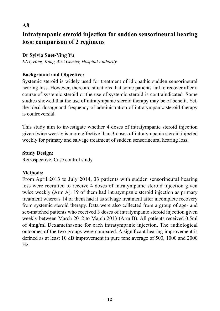### **Intratympanic steroid injection for sudden sensorineural hearing loss: comparison of 2 regimens**

### **Dr Sylvia Suet-Ying Yu**

*ENT, Hong Kong West Cluster, Hospital Authority*

### **Background and Objective:**

Systemic steroid is widely used for treatment of idiopathic sudden sensorineural hearing loss. However, there are situations that some patients fail to recover after a course of systemic steroid or the use of systemic steroid is contraindicated. Some studies showed that the use of intratympanic steroid therapy may be of benefit. Yet, the ideal dosage and frequency of administration of intratympanic steroid therapy is controversial.

This study aim to investigate whether 4 doses of intratympanic steroid injection given twice weekly is more effective than 3 doses of intratympanic steroid injected weekly for primary and salvage treatment of sudden sensorineural hearing loss.

### **Study Design:**

Retrospective, Case control study

### **Methods:**

From April 2013 to July 2014, 33 patients with sudden sensorineural hearing loss were recruited to receive 4 doses of intratympanic steroid injection given twice weekly (Arm A). 19 of them had intratympanic steroid injection as primary treatment whereas 14 of them had it as salvage treatment after incomplete recovery from systemic steroid therapy. Data were also collected from a group of age- and sex-matched patients who received 3 doses of intratympanic steroid injection given weekly between March 2012 to March 2013 (Arm B). All patients received 0.5ml of 4mg/ml Dexamethasone for each intratympanic injection. The audiological outcomes of the two groups were compared. A significant hearing improvement is defined as at least 10 dB improvement in pure tone average of 500, 1000 and 2000 Hz.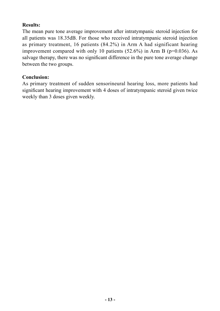### **Results:**

The mean pure tone average improvement after intratympanic steroid injection for all patients was 18.35dB. For those who received intratympanic steroid injection as primary treatment, 16 patients (84.2%) in Arm A had significant hearing improvement compared with only 10 patients  $(52.6\%)$  in Arm B (p=0.036). As salvage therapy, there was no significant difference in the pure tone average change between the two groups.

### **Conclusion:**

As primary treatment of sudden sensorineural hearing loss, more patients had significant hearing improvement with 4 doses of intratympanic steroid given twice weekly than 3 doses given weekly.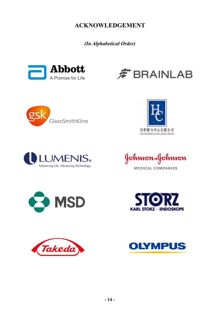**ACKNOWLEDGEMENT**

*(In Alphabetical Order)*



















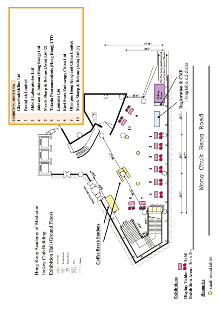